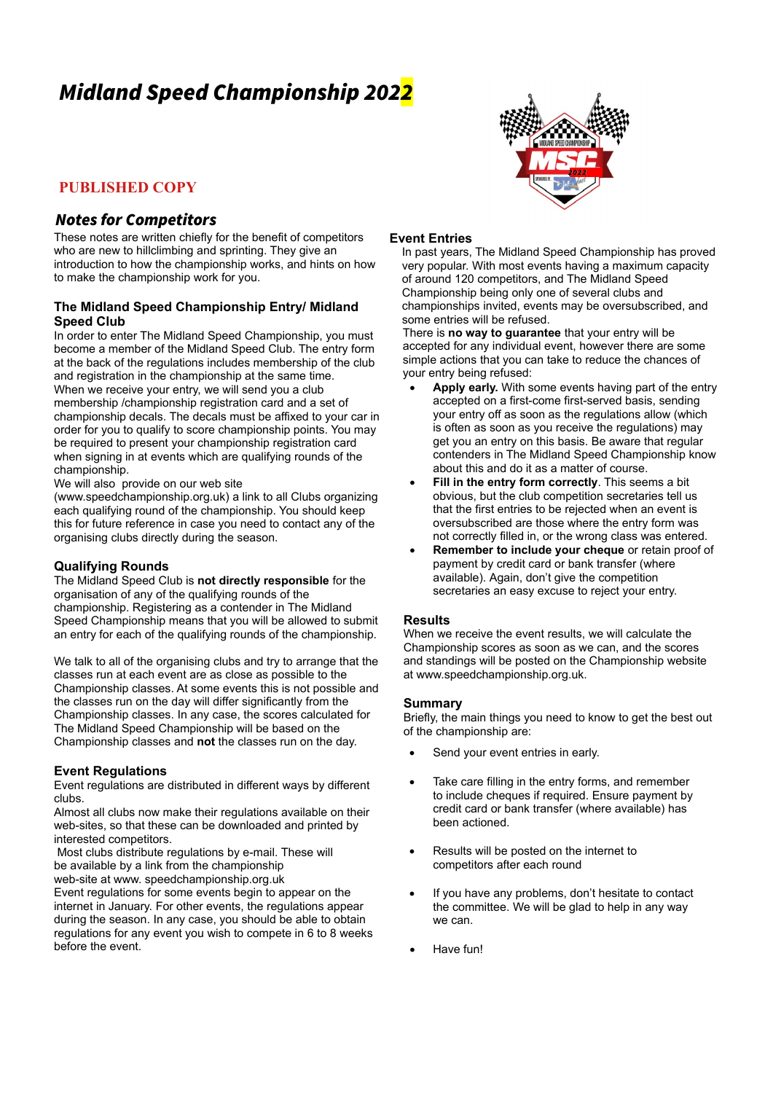# Midland Speed Championship 2022

## **PUBLISHED COPY**

### Notes for Competitors

These notes are written chiefly for the benefit of competitors who are new to hillclimbing and sprinting. They give an introduction to how the championship works, and hints on how to make the championship work for you.

#### **The Midland Speed Championship Entry/ Midland Speed Club**

In order to enter The Midland Speed Championship, you must become a member of the Midland Speed Club. The entry form at the back of the regulations includes membership of the club and registration in the championship at the same time. When we receive your entry, we will send you a club membership /championship registration card and a set of championship decals. The decals must be affixed to your car in order for you to qualify to score championship points. You may be required to present your championship registration card when signing in at events which are qualifying rounds of the championship.

We will also provide on our web site

(www.speedchampionship.org.uk) a link to all Clubs organizing each qualifying round of the championship. You should keep this for future reference in case you need to contact any of the organising clubs directly during the season.

#### **Qualifying Rounds**

The Midland Speed Club is **not directly responsible** for the organisation of any of the qualifying rounds of the championship. Registering as a contender in The Midland Speed Championship means that you will be allowed to submit an entry for each of the qualifying rounds of the championship.

We talk to all of the organising clubs and try to arrange that the classes run at each event are as close as possible to the Championship classes. At some events this is not possible and the classes run on the day will differ significantly from the Championship classes. In any case, the scores calculated for The Midland Speed Championship will be based on the Championship classes and **not** the classes run on the day.

#### **Event Regulations**

Event regulations are distributed in different ways by different clubs.

Almost all clubs now make their regulations available on their web-sites, so that these can be downloaded and printed by interested competitors.

Most clubs distribute regulations by e-mail. These will be available by a link from the championship web-site at www. speedchampionship.org.uk

Event regulations for some events begin to appear on the internet in January. For other events, the regulations appear during the season. In any case, you should be able to obtain regulations for any event you wish to compete in 6 to 8 weeks before the event.



#### **Event Entries**

In past years, The Midland Speed Championship has proved very popular. With most events having a maximum capacity of around 120 competitors, and The Midland Speed Championship being only one of several clubs and championships invited, events may be oversubscribed, and some entries will be refused.

There is **no way to guarantee** that your entry will be accepted for any individual event, however there are some simple actions that you can take to reduce the chances of your entry being refused:

- **Apply early.** With some events having part of the entry accepted on a first-come first-served basis, sending your entry off as soon as the regulations allow (which is often as soon as you receive the regulations) may get you an entry on this basis. Be aware that regular contenders in The Midland Speed Championship know about this and do it as a matter of course.
- **Fill in the entry form correctly**. This seems a bit obvious, but the club competition secretaries tell us that the first entries to be rejected when an event is oversubscribed are those where the entry form was not correctly filled in, or the wrong class was entered.
- **Remember to include your cheque** or retain proof of payment by credit card or bank transfer (where available). Again, don't give the competition secretaries an easy excuse to reject your entry.

#### **Results**

When we receive the event results, we will calculate the Championship scores as soon as we can, and the scores and standings will be posted on the Championship website at www.speedchampionship.org.uk.

#### **Summary**

Briefly, the main things you need to know to get the best out of the championship are:

- Send your event entries in early.
- Take care filling in the entry forms, and remember to include cheques if required. Ensure payment by credit card or bank transfer (where available) has been actioned.
- Results will be posted on the internet to competitors after each round
- If you have any problems, don't hesitate to contact the committee. We will be glad to help in any way we can.
- Have fun!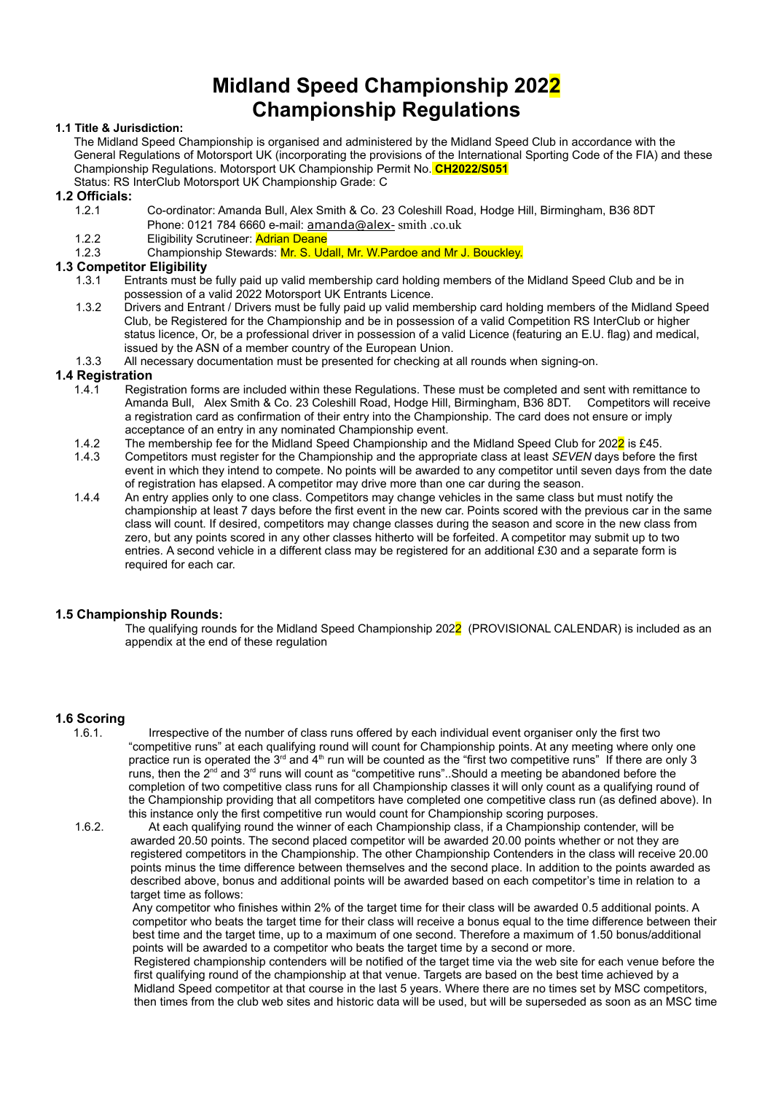## **Midland Speed Championship 2022 Championship Regulations**

#### **1.1 Title & Jurisdiction:**

The Midland Speed Championship is organised and administered by the Midland Speed Club in accordance with the General Regulations of Motorsport UK (incorporating the provisions of the International Sporting Code of the FIA) and these Championship Regulations. Motorsport UK Championship Permit No. **CH2022/S051**

### Status: RS InterClub Motorsport UK Championship Grade: C

## **1.2 Officials:**

- 1.2.1 Co-ordinator: Amanda Bull, Alex Smith & Co. 23 Coleshill Road, Hodge Hill, Birmingham, B36 8DT
- Phone: 0121 784 6660 e-mail: [amanda@alex-](mailto:amanda@alex-) smith .co.uk
- 1.2.2 Eligibility Scrutineer: <mark>Adrian Deane</mark><br>1.2.3 Championship Stewards: Mr. S. Ud
- Championship Stewards: Mr. S. Udall, Mr. W.Pardoe and Mr J. Bouckley.

#### **1.3 Competitor Eligibility**

- 1.3.1 Entrants must be fully paid up valid membership card holding members of the Midland Speed Club and be in possession of a valid 2022 Motorsport UK Entrants Licence.
- 1.3.2 Drivers and Entrant / Drivers must be fully paid up valid membership card holding members of the Midland Speed Club, be Registered for the Championship and be in possession of a valid Competition RS InterClub or higher status licence, Or, be a professional driver in possession of a valid Licence (featuring an E.U. flag) and medical, issued by the ASN of a member country of the European Union.
- 1.3.3 All necessary documentation must be presented for checking at all rounds when signing-on.

# **1.4 Registration**

- Registration forms are included within these Regulations. These must be completed and sent with remittance to Amanda Bull, Alex Smith & Co. 23 Coleshill Road, Hodge Hill, Birmingham, B36 8DT. Competitors will receive a registration card as confirmation of their entry into the Championship. The card does not ensure or imply acceptance of an entry in any nominated Championship event.
- 1.4.2 The membership fee for the Midland Speed Championship and the Midland Speed Club for 202<mark>2</mark> is £45.<br>1.4.3 Competitors must register for the Championship and the appropriate class at least *SEVEN* days before tl
- 1.4.3 Competitors must register for the Championship and the appropriate class at least *SEVEN* days before the first event in which they intend to compete. No points will be awarded to any competitor until seven days from the date of registration has elapsed. A competitor may drive more than one car during the season.
- 1.4.4 An entry applies only to one class. Competitors may change vehicles in the same class but must notify the championship at least 7 days before the first event in the new car. Points scored with the previous car in the same class will count. If desired, competitors may change classes during the season and score in the new class from zero, but any points scored in any other classes hitherto will be forfeited. A competitor may submit up to two entries. A second vehicle in a different class may be registered for an additional £30 and a separate form is required for each car.

#### **1.5 Championship Rounds:**

The qualifying rounds for the Midland Speed Championship 2022 (PROVISIONAL CALENDAR) is included as an appendix at the end of these regulation

#### **1.6 Scoring**

- 1.6.1. Irrespective of the number of class runs offered by each individual event organiser only the first two "competitive runs" at each qualifying round will count for Championship points. At any meeting where only one practice run is operated the  $3<sup>rd</sup>$  and  $4<sup>th</sup>$  run will be counted as the "first two competitive runs" If there are only 3 runs, then the 2<sup>nd</sup> and 3<sup>rd</sup> runs will count as "competitive runs". Should a meeting be abandoned before the completion of two competitive class runs for all Championship classes it will only count as a qualifying round of the Championship providing that all competitors have completed one competitive class run (as defined above). In this instance only the first competitive run would count for Championship scoring purposes.
- 1.6.2. At each qualifying round the winner of each Championship class, if a Championship contender, will be awarded 20.50 points. The second placed competitor will be awarded 20.00 points whether or not they are registered competitors in the Championship. The other Championship Contenders in the class will receive 20.00 points minus the time difference between themselves and the second place. In addition to the points awarded as described above, bonus and additional points will be awarded based on each competitor's time in relation to a target time as follows:

Any competitor who finishes within 2% of the target time for their class will be awarded 0.5 additional points. A competitor who beats the target time for their class will receive a bonus equal to the time difference between their best time and the target time, up to a maximum of one second. Therefore a maximum of 1.50 bonus/additional points will be awarded to a competitor who beats the target time by a second or more.

Registered championship contenders will be notified of the target time via the web site for each venue before the first qualifying round of the championship at that venue. Targets are based on the best time achieved by a Midland Speed competitor at that course in the last 5 years. Where there are no times set by MSC competitors, then times from the club web sites and historic data will be used, but will be superseded as soon as an MSC time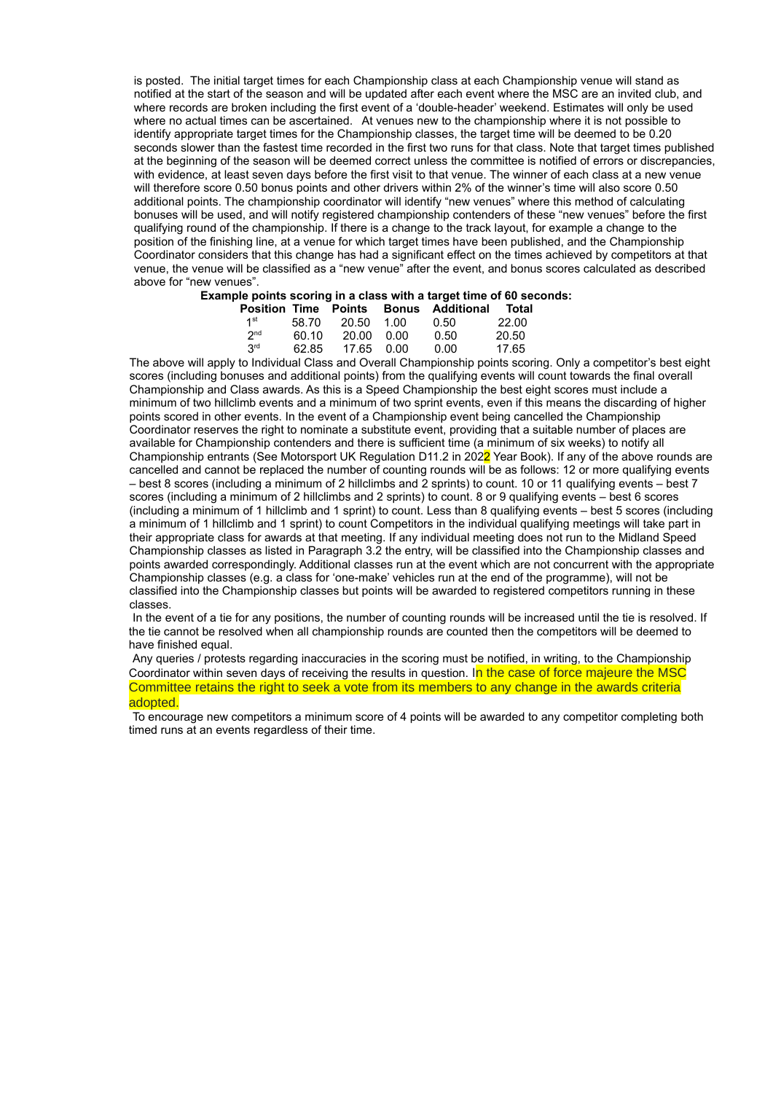is posted. The initial target times for each Championship class at each Championship venue will stand as notified at the start of the season and will be updated after each event where the MSC are an invited club, and where records are broken including the first event of a 'double-header' weekend. Estimates will only be used where no actual times can be ascertained. At venues new to the championship where it is not possible to identify appropriate target times for the Championship classes, the target time will be deemed to be 0.20 seconds slower than the fastest time recorded in the first two runs for that class. Note that target times published at the beginning of the season will be deemed correct unless the committee is notified of errors or discrepancies, with evidence, at least seven days before the first visit to that venue. The winner of each class at a new venue will therefore score 0.50 bonus points and other drivers within 2% of the winner's time will also score 0.50 additional points. The championship coordinator will identify "new venues" where this method of calculating bonuses will be used, and will notify registered championship contenders of these "new venues" before the first qualifying round of the championship. If there is a change to the track layout, for example a change to the position of the finishing line, at a venue for which target times have been published, and the Championship Coordinator considers that this change has had a significant effect on the times achieved by competitors at that venue, the venue will be classified as a "new venue" after the event, and bonus scores calculated as described above for "new venues".

#### **Example points scoring in a class with a target time of 60 seconds:**

|                           |                  | Position Time Points Bonus Additional Total |       |
|---------------------------|------------------|---------------------------------------------|-------|
| 1 <sup>st</sup> and the 1 | 58.70 20.50 1.00 | 0.50                                        | 22.00 |
| 2 <sup>nd</sup>           | 60.10 20.00 0.00 | 0.50                                        | 20.50 |
| 3 <sup>rd</sup>           | 62.85 17.65 0.00 | 0.00                                        | 17.65 |

The above will apply to Individual Class and Overall Championship points scoring. Only a competitor's best eight scores (including bonuses and additional points) from the qualifying events will count towards the final overall Championship and Class awards. As this is a Speed Championship the best eight scores must include a minimum of two hillclimb events and a minimum of two sprint events, even if this means the discarding of higher points scored in other events. In the event of a Championship event being cancelled the Championship Coordinator reserves the right to nominate a substitute event, providing that a suitable number of places are available for Championship contenders and there is sufficient time (a minimum of six weeks) to notify all Championship entrants (See Motorsport UK Regulation D11.2 in 2022 Year Book). If any of the above rounds are cancelled and cannot be replaced the number of counting rounds will be as follows: 12 or more qualifying events – best 8 scores (including a minimum of 2 hillclimbs and 2 sprints) to count. 10 or 11 qualifying events – best 7 scores (including a minimum of 2 hillclimbs and 2 sprints) to count. 8 or 9 qualifying events – best 6 scores (including a minimum of 1 hillclimb and 1 sprint) to count. Less than 8 qualifying events – best 5 scores (including a minimum of 1 hillclimb and 1 sprint) to count Competitors in the individual qualifying meetings will take part in their appropriate class for awards at that meeting. If any individual meeting does not run to the Midland Speed Championship classes as listed in Paragraph 3.2 the entry, will be classified into the Championship classes and points awarded correspondingly. Additional classes run at the event which are not concurrent with the appropriate Championship classes (e.g. a class for 'one-make' vehicles run at the end of the programme), will not be classified into the Championship classes but points will be awarded to registered competitors running in these classes.

In the event of a tie for any positions, the number of counting rounds will be increased until the tie is resolved. If the tie cannot be resolved when all championship rounds are counted then the competitors will be deemed to have finished equal.

Any queries / protests regarding inaccuracies in the scoring must be notified, in writing, to the Championship Coordinator within seven days of receiving the results in question. In the case of force majeure the MSC Committee retains the right to seek a vote from its members to any change in the awards criteria adopted.

To encourage new competitors a minimum score of 4 points will be awarded to any competitor completing both timed runs at an events regardless of their time.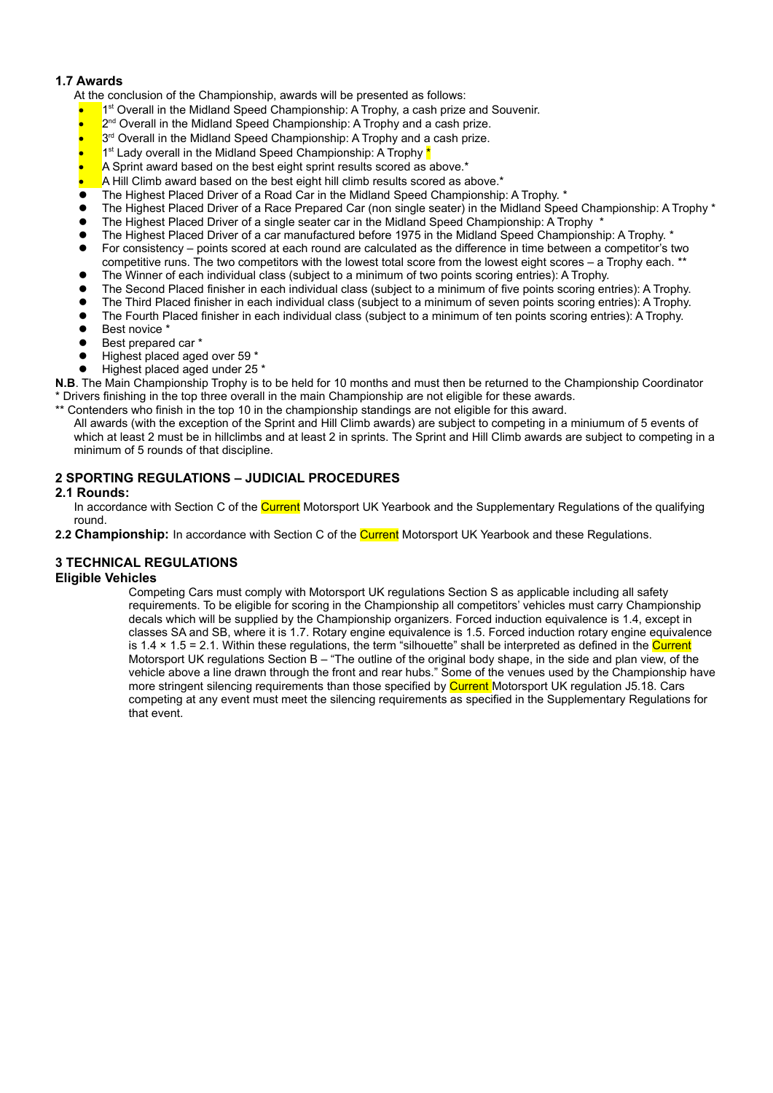#### **1.7 Awards**

At the conclusion of the Championship, awards will be presented as follows:

- **1<sup>st</sup>** Overall in the Midland Speed Championship: A Trophy, a cash prize and Souvenir.
- L<sup>2nd</sup> Overall in the Midland Speed Championship: A Trophy and a cash prize.
- $\bullet$   $\Box$ 3<sup>rd</sup> Overall in the Midland Speed Championship: A Trophy and a cash prize.
- 1<sup>st</sup> Lady overall in the Midland Speed Championship: A Trophy <mark>\*</mark>
- A Sprint award based on the best eight sprint results scored as above.<sup>\*</sup>
- A Hill Climb award based on the best eight hill climb results scored as above.\*
- The Highest Placed Driver of a Road Car in the Midland Speed Championship: A Trophy. \*
- The Highest Placed Driver of a Race Prepared Car (non single seater) in the Midland Speed Championship: A Trophy \*
- The Highest Placed Driver of a single seater car in the Midland Speed Championship: A Trophy <sup>\*</sup>
- The Highest Placed Driver of a car manufactured before 1975 in the Midland Speed Championship: A Trophy. \*
- For consistency points scored at each round are calculated as the difference in time between a competitor's two competitive runs. The two competitors with the lowest total score from the lowest eight scores – a Trophy each. \*
- The Winner of each individual class (subject to a minimum of two points scoring entries): A Trophy.
- The Second Placed finisher in each individual class (subject to a minimum of five points scoring entries): A Trophy.
- The Third Placed finisher in each individual class (subject to a minimum of seven points scoring entries): A Trophy.
- The Fourth Placed finisher in each individual class (subject to a minimum of ten points scoring entries): A Trophy.
- Best novice \*
- Best prepared car \*
- Highest placed aged over 59 \*
- Highest placed aged under 25 \*

**N.B**. The Main Championship Trophy is to be held for 10 months and must then be returned to the Championship Coordinator \* Drivers finishing in the top three overall in the main Championship are not eligible for these awards.

\*\* Contenders who finish in the top 10 in the championship standings are not eligible for this award.

All awards (with the exception of the Sprint and Hill Climb awards) are subject to competing in a miniumum of 5 events of which at least 2 must be in hillclimbs and at least 2 in sprints. The Sprint and Hill Climb awards are subject to competing in a minimum of 5 rounds of that discipline.

### **2 SPORTING REGULATIONS – JUDICIAL PROCEDURES**

#### **2.1 Rounds:**

In accordance with Section C of the Current Motorsport UK Yearbook and the Supplementary Regulations of the qualifying round.

**2.2 Championship:** In accordance with Section C of the Current Motorsport UK Yearbook and these Regulations.

#### **3 TECHNICAL REGULATIONS**

#### **Eligible Vehicles**

Competing Cars must comply with Motorsport UK regulations Section S as applicable including all safety requirements. To be eligible for scoring in the Championship all competitors' vehicles must carry Championship decals which will be supplied by the Championship organizers. Forced induction equivalence is 1.4, except in classes SA and SB, where it is 1.7. Rotary engine equivalence is 1.5. Forced induction rotary engine equivalence is  $1.4 \times 1.5 = 2.1$ . Within these regulations, the term "silhouette" shall be interpreted as defined in the Current Motorsport UK regulations Section  $B - H$  The outline of the original body shape, in the side and plan view, of the vehicle above a line drawn through the front and rear hubs." Some of the venues used by the Championship have more stringent silencing requirements than those specified by Current Motorsport UK regulation J5.18. Cars competing at any event must meet the silencing requirements as specified in the Supplementary Regulations for that event.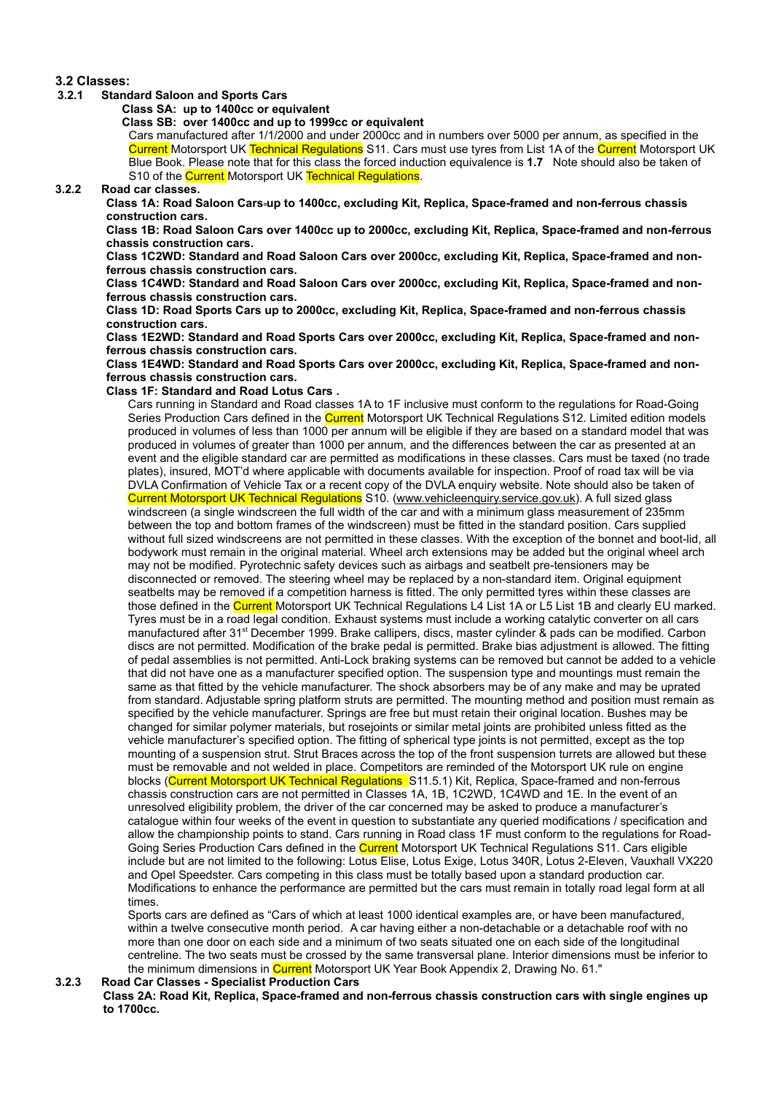#### **3.2 Classes:**

#### **3.2.1 Standard Saloon and Sports Cars**

**Class SA: up to 1400cc or equivalent**

#### **Class SB: over 1400cc and up to 1999cc or equivalent**

Cars manufactured after 1/1/2000 and under 2000cc and in numbers over 5000 per annum, as specified in the Current Motorsport UK Technical Regulations S11. Cars must use tyres from List 1A of the Current Motorsport UK Blue Book. Please note that for this class the forced induction equivalence is **1.7** Note should also be taken of S10 of the **Current** Motorsport UK Technical Regulations.

#### **3.2.2 Road car classes.**

**Class 1A: Road Saloon Cars up to 1400cc, excluding Kit, Replica, Space-framed and non-ferrous chassis construction cars.**

**Class 1B: Road Saloon Cars over 1400cc up to 2000cc, excluding Kit, Replica, Space-framed and non-ferrous chassis construction cars.**

**Class 1C2WD: Standard and Road Saloon Cars over 2000cc, excluding Kit, Replica, Space-framed and nonferrous chassis construction cars.**

**Class 1C4WD: Standard and Road Saloon Cars over 2000cc, excluding Kit, Replica, Space-framed and nonferrous chassis construction cars.**

**Class 1D: Road Sports Cars up to 2000cc, excluding Kit, Replica, Space-framed and non-ferrous chassis construction cars.**

**Class 1E2WD: Standard and Road Sports Cars over 2000cc, excluding Kit, Replica, Space-framed and nonferrous chassis construction cars.**

**Class 1E4WD: Standard and Road Sports Cars over 2000cc, excluding Kit, Replica, Space-framed and nonferrous chassis construction cars.**

#### **Class 1F: Standard and Road Lotus Cars .**

Cars running in Standard and Road classes 1A to 1F inclusive must conform to the regulations for Road-Going Series Production Cars defined in the Current Motorsport UK Technical Regulations S12. Limited edition models produced in volumes of less than 1000 per annum will be eligible if they are based on a standard model that was produced in volumes of greater than 1000 per annum, and the differences between the car as presented at an event and the eligible standard car are permitted as modifications in these classes. Cars must be taxed (no trade plates), insured, MOT'd where applicable with documents available for inspection. Proof of road tax will be via DVLA Confirmation of Vehicle Tax or a recent copy of the DVLA enquiry website. Note should also be taken of Current Motorsport UK Technical Regulations S10. [\(www.vehicleenquiry.service.gov.uk](http://www.vehicleenquiry.service.gov.uk/)). A full sized glass windscreen (a single windscreen the full width of the car and with a minimum glass measurement of 235mm between the top and bottom frames of the windscreen) must be fitted in the standard position. Cars supplied without full sized windscreens are not permitted in these classes. With the exception of the bonnet and boot-lid, all bodywork must remain in the original material. Wheel arch extensions may be added but the original wheel arch may not be modified. Pyrotechnic safety devices such as airbags and seatbelt pre-tensioners may be disconnected or removed. The steering wheel may be replaced by a non-standard item. Original equipment seatbelts may be removed if a competition harness is fitted. The only permitted tyres within these classes are those defined in the **Current** Motorsport UK Technical Regulations L4 List 1A or L5 List 1B and clearly EU marked. Tyres must be in a road legal condition. Exhaust systems must include a working catalytic converter on all cars manufactured after 31<sup>st</sup> December 1999. Brake callipers, discs, master cylinder & pads can be modified. Carbon discs are not permitted. Modification of the brake pedal is permitted. Brake bias adjustment is allowed. The fitting of pedal assemblies is not permitted. Anti-Lock braking systems can be removed but cannot be added to a vehicle that did not have one as a manufacturer specified option. The suspension type and mountings must remain the same as that fitted by the vehicle manufacturer. The shock absorbers may be of any make and may be uprated from standard. Adjustable spring platform struts are permitted. The mounting method and position must remain as specified by the vehicle manufacturer. Springs are free but must retain their original location. Bushes may be changed for similar polymer materials, but rosejoints or similar metal joints are prohibited unless fitted as the vehicle manufacturer's specified option. The fitting of spherical type joints is not permitted, except as the top mounting of a suspension strut. Strut Braces across the top of the front suspension turrets are allowed but these must be removable and not welded in place. Competitors are reminded of the Motorsport UK rule on engine blocks (Current Motorsport UK Technical Regulations S11.5.1) Kit, Replica, Space-framed and non-ferrous chassis construction cars are not permitted in Classes 1A, 1B, 1C2WD, 1C4WD and 1E. In the event of an unresolved eligibility problem, the driver of the car concerned may be asked to produce a manufacturer's catalogue within four weeks of the event in question to substantiate any queried modifications / specification and allow the championship points to stand. Cars running in Road class 1F must conform to the regulations for Road-Going Series Production Cars defined in the **Current** Motorsport UK Technical Regulations S11. Cars eligible include but are not limited to the following: Lotus Elise, Lotus Exige, Lotus 340R, Lotus 2-Eleven, Vauxhall VX220 and Opel Speedster. Cars competing in this class must be totally based upon a standard production car. Modifications to enhance the performance are permitted but the cars must remain in totally road legal form at all times.

Sports cars are defined as "Cars of which at least 1000 identical examples are, or have been manufactured, within a twelve consecutive month period. A car having either a non-detachable or a detachable roof with no more than one door on each side and a minimum of two seats situated one on each side of the longitudinal centreline. The two seats must be crossed by the same transversal plane. Interior dimensions must be inferior to the minimum dimensions in Current Motorsport UK Year Book Appendix 2, Drawing No. 61."

#### **3.2.3 Road Car Classes - Specialist Production Cars**

**Class 2A: Road Kit, Replica, Space-framed and non-ferrous chassis construction cars with single engines up to 1700cc.**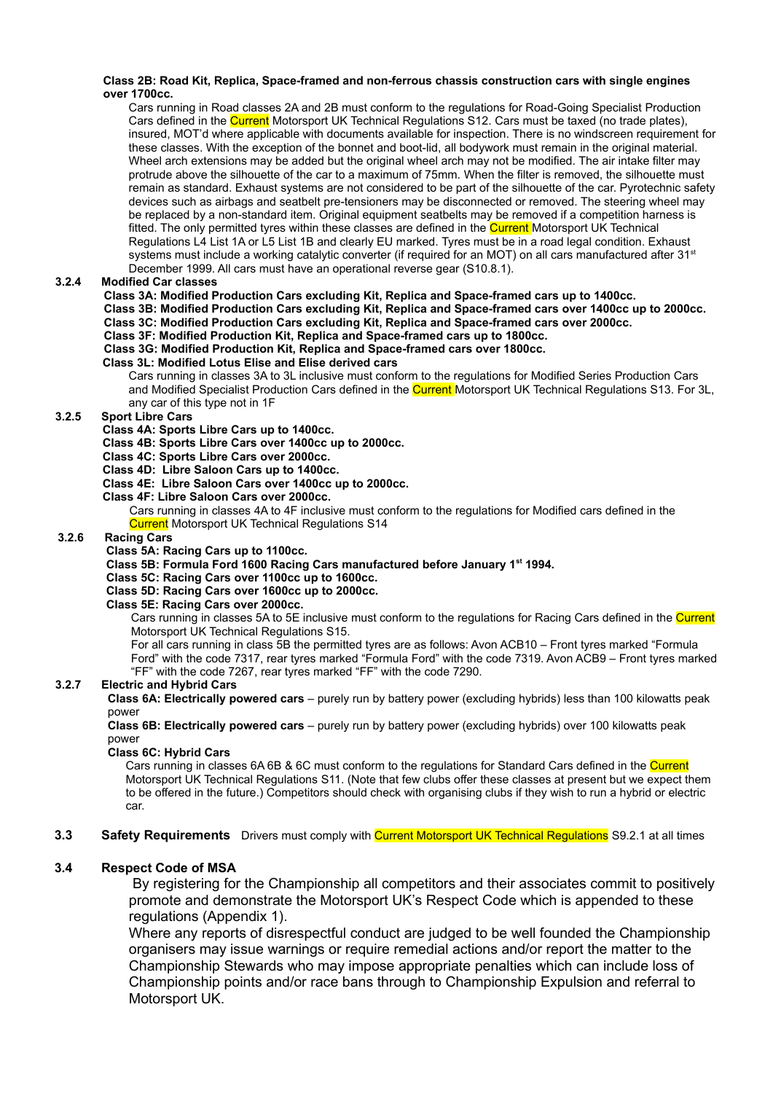#### **Class 2B: Road Kit, Replica, Space-framed and non-ferrous chassis construction cars with single engines over 1700cc.**

Cars running in Road classes 2A and 2B must conform to the regulations for Road-Going Specialist Production Cars defined in the Current Motorsport UK Technical Regulations S12. Cars must be taxed (no trade plates), insured, MOT'd where applicable with documents available for inspection. There is no windscreen requirement for these classes. With the exception of the bonnet and boot-lid, all bodywork must remain in the original material. Wheel arch extensions may be added but the original wheel arch may not be modified. The air intake filter may protrude above the silhouette of the car to a maximum of 75mm. When the filter is removed, the silhouette must remain as standard. Exhaust systems are not considered to be part of the silhouette of the car. Pyrotechnic safety devices such as airbags and seatbelt pre-tensioners may be disconnected or removed. The steering wheel may be replaced by a non-standard item. Original equipment seatbelts may be removed if a competition harness is fitted. The only permitted tyres within these classes are defined in the **Current Motorsport UK Technical** Regulations L4 List 1A or L5 List 1B and clearly EU marked. Tyres must be in a road legal condition. Exhaust systems must include a working catalytic converter (if required for an MOT) on all cars manufactured after  $31<sup>st</sup>$ December 1999. All cars must have an operational reverse gear (S10.8.1).

#### **3.2.4 Modified Car classes**

**Class 3A: Modified Production Cars excluding Kit, Replica and Space-framed cars up to 1400cc.**

**Class 3B: Modified Production Cars excluding Kit, Replica and Space-framed cars over 1400cc up to 2000cc.**

**Class 3C: Modified Production Cars excluding Kit, Replica and Space-framed cars over 2000cc.**

**Class 3F: Modified Production Kit, Replica and Space-framed cars up to 1800cc.**

**Class 3G: Modified Production Kit, Replica and Space-framed cars over 1800cc.**

#### **Class 3L: Modified Lotus Elise and Elise derived cars**

Cars running in classes 3A to 3L inclusive must conform to the regulations for Modified Series Production Cars and Modified Specialist Production Cars defined in the **Current** Motorsport UK Technical Regulations S13. For 3L, any car of this type not in 1F

#### **3.2.5 Sport Libre Cars**

**Class 4A: Sports Libre Cars up to 1400cc.** 

**Class 4B: Sports Libre Cars over 1400cc up to 2000cc.** 

**Class 4C: Sports Libre Cars over 2000cc.**

**Class 4D: Libre Saloon Cars up to 1400cc.** 

- **Class 4E: Libre Saloon Cars over 1400cc up to 2000cc.**
- **Class 4F: Libre Saloon Cars over 2000cc.**

Cars running in classes 4A to 4F inclusive must conform to the regulations for Modified cars defined in the Current Motorsport UK Technical Regulations S14

#### **3.2.6 Racing Cars**

#### **Class 5A: Racing Cars up to 1100cc.**

- **Class 5B: Formula Ford 1600 Racing Cars manufactured before January 1st 1994.**
- **Class 5C: Racing Cars over 1100cc up to 1600cc.**

#### **Class 5D: Racing Cars over 1600cc up to 2000cc.**

#### **Class 5E: Racing Cars over 2000cc.**

Cars running in classes 5A to 5E inclusive must conform to the regulations for Racing Cars defined in the Current Motorsport UK Technical Regulations S15.

For all cars running in class 5B the permitted tyres are as follows: Avon ACB10 – Front tyres marked "Formula Ford" with the code 7317, rear tyres marked "Formula Ford" with the code 7319. Avon ACB9 – Front tyres marked "FF" with the code 7267, rear tyres marked "FF" with the code 7290.

#### **3.2.7 Electric and Hybrid Cars**

**Class 6A: Electrically powered cars** – purely run by battery power (excluding hybrids) less than 100 kilowatts peak power

**Class 6B: Electrically powered cars** – purely run by battery power (excluding hybrids) over 100 kilowatts peak power

#### **Class 6C: Hybrid Cars**

Cars running in classes 6A 6B & 6C must conform to the regulations for Standard Cars defined in the Current Motorsport UK Technical Regulations S11. (Note that few clubs offer these classes at present but we expect them to be offered in the future.) Competitors should check with organising clubs if they wish to run a hybrid or electric car.

**3.3 Safety Requirements** Drivers must comply with Current Motorsport UK Technical Regulations S9.2.1 at all times

#### **3.4 Respect Code of MSA**

By registering for the Championship all competitors and their associates commit to positively promote and demonstrate the Motorsport UK's Respect Code which is appended to these regulations (Appendix 1).

Where any reports of disrespectful conduct are judged to be well founded the Championship organisers may issue warnings or require remedial actions and/or report the matter to the Championship Stewards who may impose appropriate penalties which can include loss of Championship points and/or race bans through to Championship Expulsion and referral to Motorsport UK.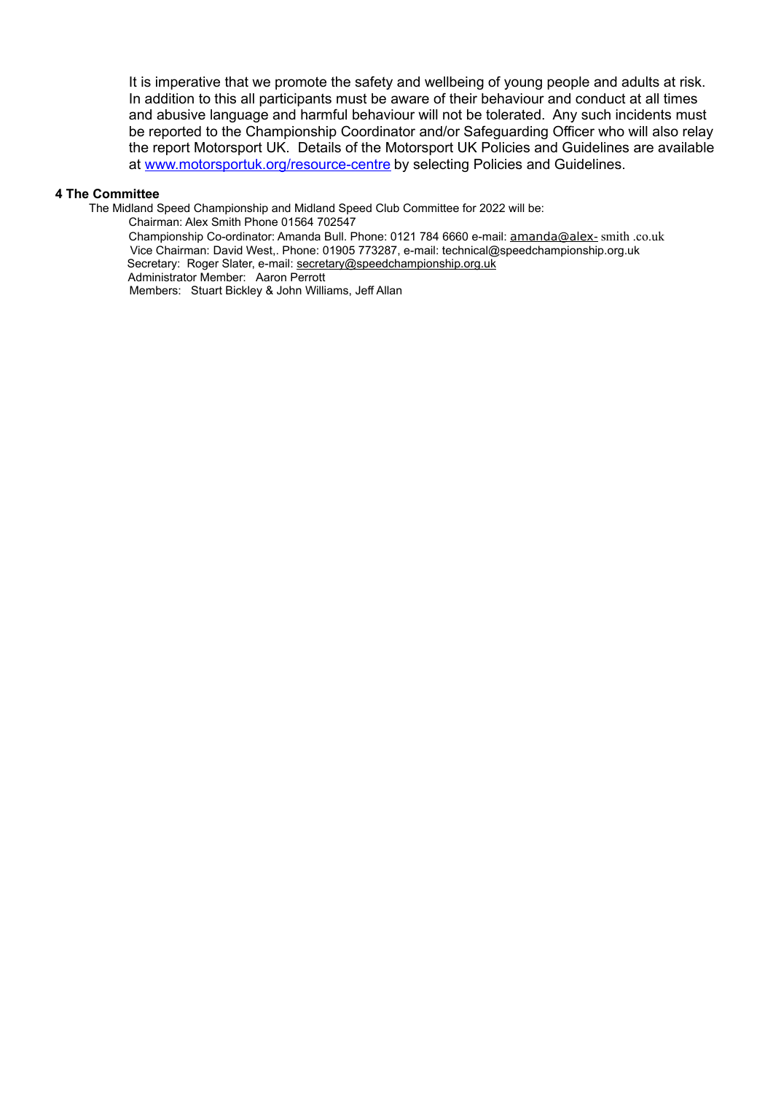It is imperative that we promote the safety and wellbeing of young people and adults at risk. In addition to this all participants must be aware of their behaviour and conduct at all times and abusive language and harmful behaviour will not be tolerated. Any such incidents must be reported to the Championship Coordinator and/or Safeguarding Officer who will also relay the report Motorsport UK. Details of the Motorsport UK Policies and Guidelines are available at [www.motorsportuk.org/resource-centre](https://eur02.safelinks.protection.outlook.com/?url=http%3A%2F%2Fwww.motorsportuk.org%2Fresource-centre&data=04%7C01%7CAndrea.Duncan@motorsportuk.org%7C61b31c33dd1245fa808208d9d06fe991%7C63a2da0237564d81baedec1930321ea4%7C0%7C0%7C637770001435269930%7CUnknown%7CTWFpbGZsb3d8eyJWIjoiMC4wLjAwMDAiLCJQIjoiV2luMzIiLCJBTiI6Ik1haWwiLCJXVCI6Mn0%3D%7C3000&sdata=u0ifvC3THlrE1IvpDsLii1TVHz0X6OOlTPD1AIBu5GM%3D&reserved=0) by selecting Policies and Guidelines.

#### **4 The Committee**

The Midland Speed Championship and Midland Speed Club Committee for 2022 will be:

Chairman: Alex Smith Phone 01564 702547

Championship Co-ordinator: Amanda Bull. Phone: 0121 784 6660 e-mail: [amanda@alex-](mailto:amanda@alex-) smith .co.uk Vice Chairman: David West,. Phone: 01905 773287, e-mail: technical@speedchampionship.org.uk Secretary: Roger Slater, e-mail: [secretary@speedchampionship.org.uk](mailto:secretary@speedchampionship.org.uk) Administrator Member: Aaron Perrott

Members: Stuart Bickley & John Williams, Jeff Allan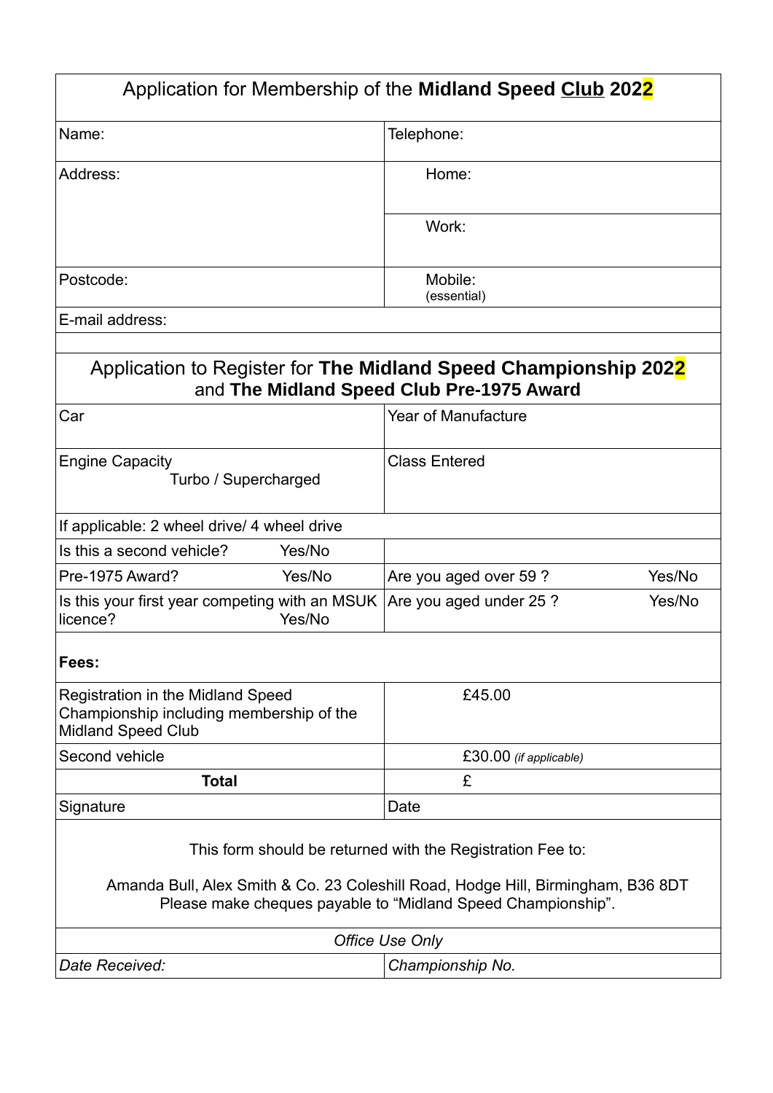| Application for Membership of the Midland Speed Club 2022                                                                                                                                                      |                                  |  |  |  |  |
|----------------------------------------------------------------------------------------------------------------------------------------------------------------------------------------------------------------|----------------------------------|--|--|--|--|
| Name:                                                                                                                                                                                                          | Telephone:                       |  |  |  |  |
| Address:                                                                                                                                                                                                       | Home:                            |  |  |  |  |
|                                                                                                                                                                                                                | Work:                            |  |  |  |  |
| Postcode:                                                                                                                                                                                                      | Mobile:<br>(essential)           |  |  |  |  |
| E-mail address:                                                                                                                                                                                                |                                  |  |  |  |  |
| Application to Register for The Midland Speed Championship 2022<br>and The Midland Speed Club Pre-1975 Award                                                                                                   |                                  |  |  |  |  |
| Car                                                                                                                                                                                                            | <b>Year of Manufacture</b>       |  |  |  |  |
| <b>Engine Capacity</b><br>Turbo / Supercharged                                                                                                                                                                 | <b>Class Entered</b>             |  |  |  |  |
| If applicable: 2 wheel drive/ 4 wheel drive                                                                                                                                                                    |                                  |  |  |  |  |
| Is this a second vehicle?<br>Yes/No                                                                                                                                                                            |                                  |  |  |  |  |
| Pre-1975 Award?<br>Yes/No                                                                                                                                                                                      | Are you aged over 59 ?<br>Yes/No |  |  |  |  |
| Is this your first year competing with an MSUK $ $ Are you aged under 25 ?<br>licence?<br>Yes/No                                                                                                               | Yes/No                           |  |  |  |  |
| Fees:                                                                                                                                                                                                          |                                  |  |  |  |  |
| Registration in the Midland Speed<br>Championship including membership of the<br><b>Midland Speed Club</b>                                                                                                     | £45.00                           |  |  |  |  |
| Second vehicle                                                                                                                                                                                                 | £30.00 (if applicable)           |  |  |  |  |
| <b>Total</b>                                                                                                                                                                                                   | £                                |  |  |  |  |
| Signature                                                                                                                                                                                                      | Date                             |  |  |  |  |
| This form should be returned with the Registration Fee to:<br>Amanda Bull, Alex Smith & Co. 23 Coleshill Road, Hodge Hill, Birmingham, B36 8DT<br>Please make cheques payable to "Midland Speed Championship". |                                  |  |  |  |  |
| Office Use Only                                                                                                                                                                                                |                                  |  |  |  |  |
| Date Received:                                                                                                                                                                                                 | Championship No.                 |  |  |  |  |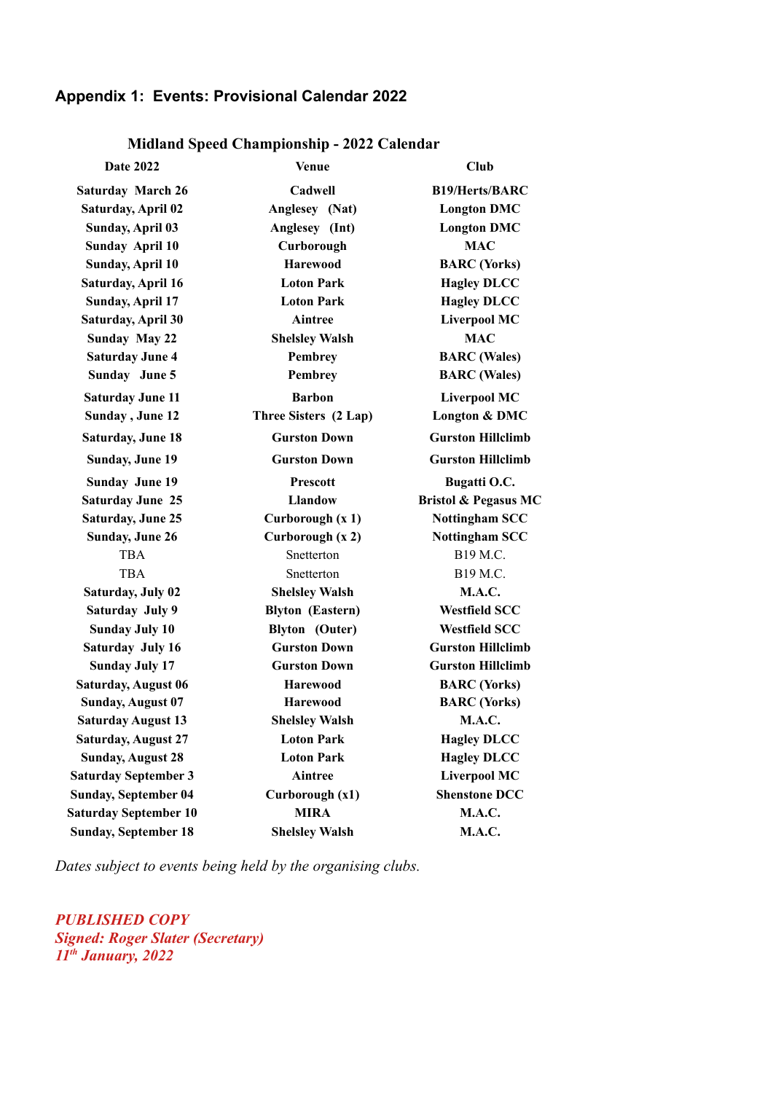# **Appendix 1: Events: Provisional Calendar 2022**

| <b>Date 2022</b>             | Venue                   | Club                            |
|------------------------------|-------------------------|---------------------------------|
| <b>Saturday March 26</b>     | Cadwell                 | <b>B19/Herts/BARC</b>           |
| Saturday, April 02           | Anglesey (Nat)          | <b>Longton DMC</b>              |
| <b>Sunday, April 03</b>      | Anglesey (Int)          | <b>Longton DMC</b>              |
| <b>Sunday April 10</b>       | Curborough              | <b>MAC</b>                      |
| Sunday, April 10             | <b>Harewood</b>         | <b>BARC</b> (Yorks)             |
| Saturday, April 16           | <b>Loton Park</b>       | <b>Hagley DLCC</b>              |
| <b>Sunday, April 17</b>      | <b>Loton Park</b>       | <b>Hagley DLCC</b>              |
| Saturday, April 30           | Aintree                 | <b>Liverpool MC</b>             |
| <b>Sunday May 22</b>         | <b>Shelsley Walsh</b>   | <b>MAC</b>                      |
| <b>Saturday June 4</b>       | <b>Pembrey</b>          | <b>BARC</b> (Wales)             |
| Sunday June 5                | <b>Pembrey</b>          | <b>BARC</b> (Wales)             |
| <b>Saturday June 11</b>      | <b>Barbon</b>           | <b>Liverpool MC</b>             |
| Sunday, June 12              | Three Sisters (2 Lap)   | Longton & DMC                   |
| <b>Saturday, June 18</b>     | <b>Gurston Down</b>     | <b>Gurston Hillclimb</b>        |
| <b>Sunday, June 19</b>       | <b>Gurston Down</b>     | <b>Gurston Hillclimb</b>        |
| <b>Sunday June 19</b>        | <b>Prescott</b>         | Bugatti O.C.                    |
| <b>Saturday June 25</b>      | <b>Llandow</b>          | <b>Bristol &amp; Pegasus MC</b> |
| Saturday, June 25            | Curborough (x 1)        | <b>Nottingham SCC</b>           |
| Sunday, June 26              | Curborough (x 2)        | <b>Nottingham SCC</b>           |
| <b>TBA</b>                   | Snetterton              | B19 M.C.                        |
| <b>TBA</b>                   | Snetterton              | B19 M.C.                        |
| Saturday, July 02            | <b>Shelsley Walsh</b>   | <b>M.A.C.</b>                   |
| <b>Saturday July 9</b>       | <b>Blyton</b> (Eastern) | <b>Westfield SCC</b>            |
| <b>Sunday July 10</b>        | Blyton (Outer)          | <b>Westfield SCC</b>            |
| <b>Saturday July 16</b>      | <b>Gurston Down</b>     | <b>Gurston Hillclimb</b>        |
| <b>Sunday July 17</b>        | <b>Gurston Down</b>     | <b>Gurston Hillclimb</b>        |
| <b>Saturday, August 06</b>   | <b>Harewood</b>         | <b>BARC</b> (Yorks)             |
| <b>Sunday, August 07</b>     | <b>Harewood</b>         | <b>BARC</b> (Yorks)             |
| <b>Saturday August 13</b>    | <b>Shelsley Walsh</b>   | <b>M.A.C.</b>                   |
| <b>Saturday, August 27</b>   | <b>Loton Park</b>       | <b>Hagley DLCC</b>              |
| <b>Sunday, August 28</b>     | <b>Loton Park</b>       | <b>Hagley DLCC</b>              |
| <b>Saturday September 3</b>  | <b>Aintree</b>          | <b>Liverpool MC</b>             |
| <b>Sunday, September 04</b>  | Curborough (x1)         | <b>Shenstone DCC</b>            |
| <b>Saturday September 10</b> | <b>MIRA</b>             | <b>M.A.C.</b>                   |
| <b>Sunday, September 18</b>  | <b>Shelsley Walsh</b>   | <b>M.A.C.</b>                   |
|                              |                         |                                 |

## **Midland Speed Championship - 2022 Calendar**

*Dates subject to events being held by the organising clubs.*

*PUBLISHED COPY Signed: Roger Slater (Secretary) 11th January, 2022*